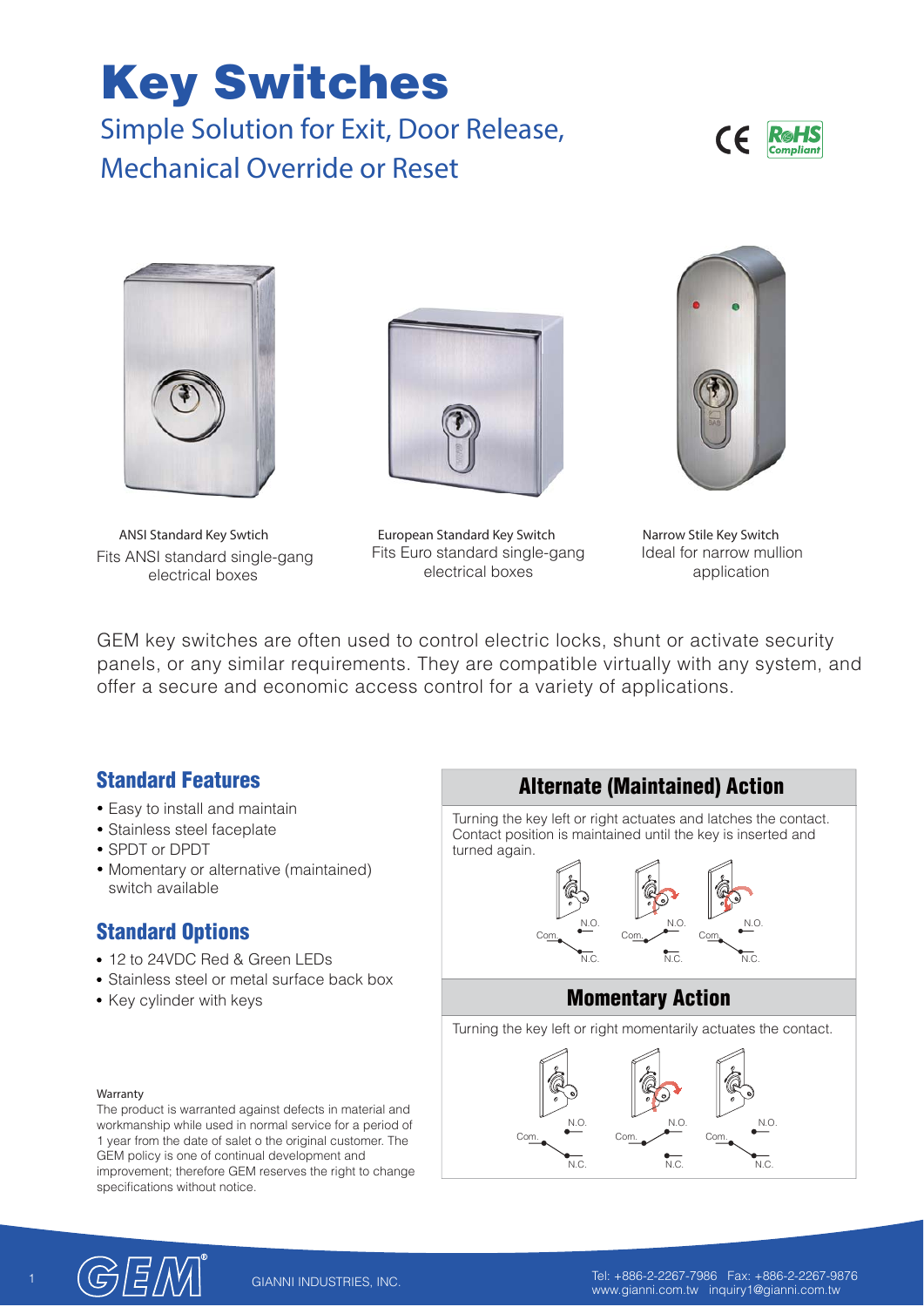# **Key Switches**

**Simple Solution for Exit, Door Release, Mechanical Override or Reset**





Fits ANSI standard single-gang electrical boxes



**ANSI Standard Key Swtich European Standard Key Switch Narrow Stile Key Switch** Fits Euro standard single-gang electrical boxes



Ideal for narrow mullion application

GEM key switches are often used to control electric locks, shunt or activate security panels, or any similar requirements. They are compatible virtually with any system, and offer a secure and economic access control for a variety of applications.

#### **Standard Features**

- Easy to install and maintain
- Stainless steel faceplate
- SPDT or DPDT
- Momentary or alternative (maintained) switch available

#### **Standard Options**

- 12 to 24VDC Red & Green LEDs
- Stainless steel or metal surface back box
- Key cylinder with keys





The product is warranted against defects in material and workmanship while used in normal service for a period of 1 year from the date of salet o the original customer. The GEM policy is one of continual development and improvement; therefore GEM reserves the right to change specifications without notice.



1 Tel: +886-2-2267-7986 Fax: +886-2-2267-9876 www.gianni.com.tw inquiry1@gianni.com.tw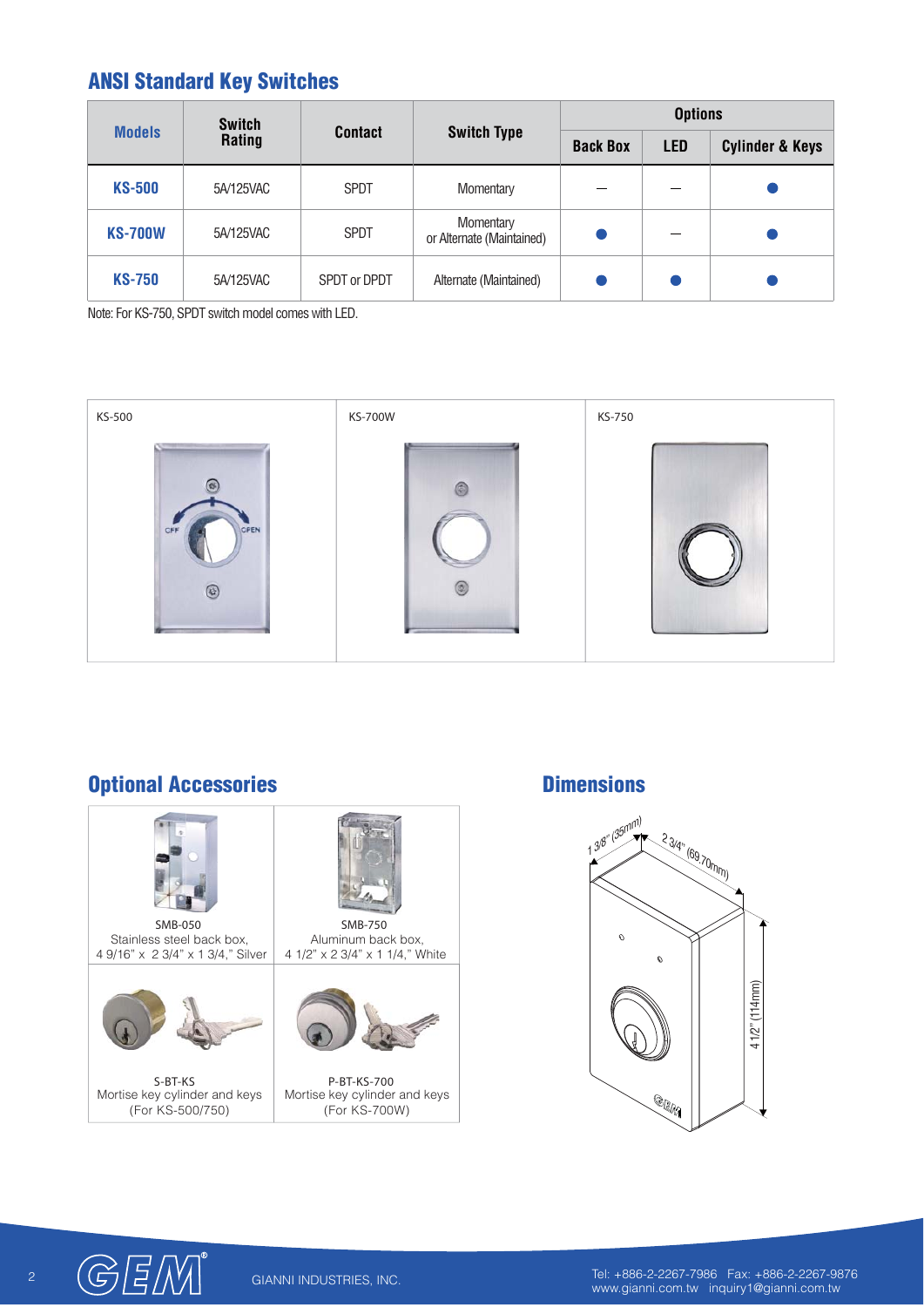# **ANSI Standard Key Switches**

| <b>Models</b>  | <b>Switch</b><br>Rating | <b>Contact</b> | <b>Switch Type</b>                     | <b>Options</b>  |            |                            |
|----------------|-------------------------|----------------|----------------------------------------|-----------------|------------|----------------------------|
|                |                         |                |                                        | <b>Back Box</b> | <b>LED</b> | <b>Cylinder &amp; Keys</b> |
| <b>KS-500</b>  | 5A/125VAC               | <b>SPDT</b>    | Momentary                              |                 |            |                            |
| <b>KS-700W</b> | 5A/125VAC               | <b>SPDT</b>    | Momentary<br>or Alternate (Maintained) |                 |            |                            |
| <b>KS-750</b>  | 5A/125VAC               | SPDT or DPDT   | Alternate (Maintained)                 |                 |            |                            |

Note: For KS-750, SPDT switch model comes with LED.



# **Optional Accessories**



#### **Dimensions**





2 Tel: +886-2-2267-7986 Fax: +886-2-2267-9876<br>www.gianni.com.tw inquiry1@gianni.com.tw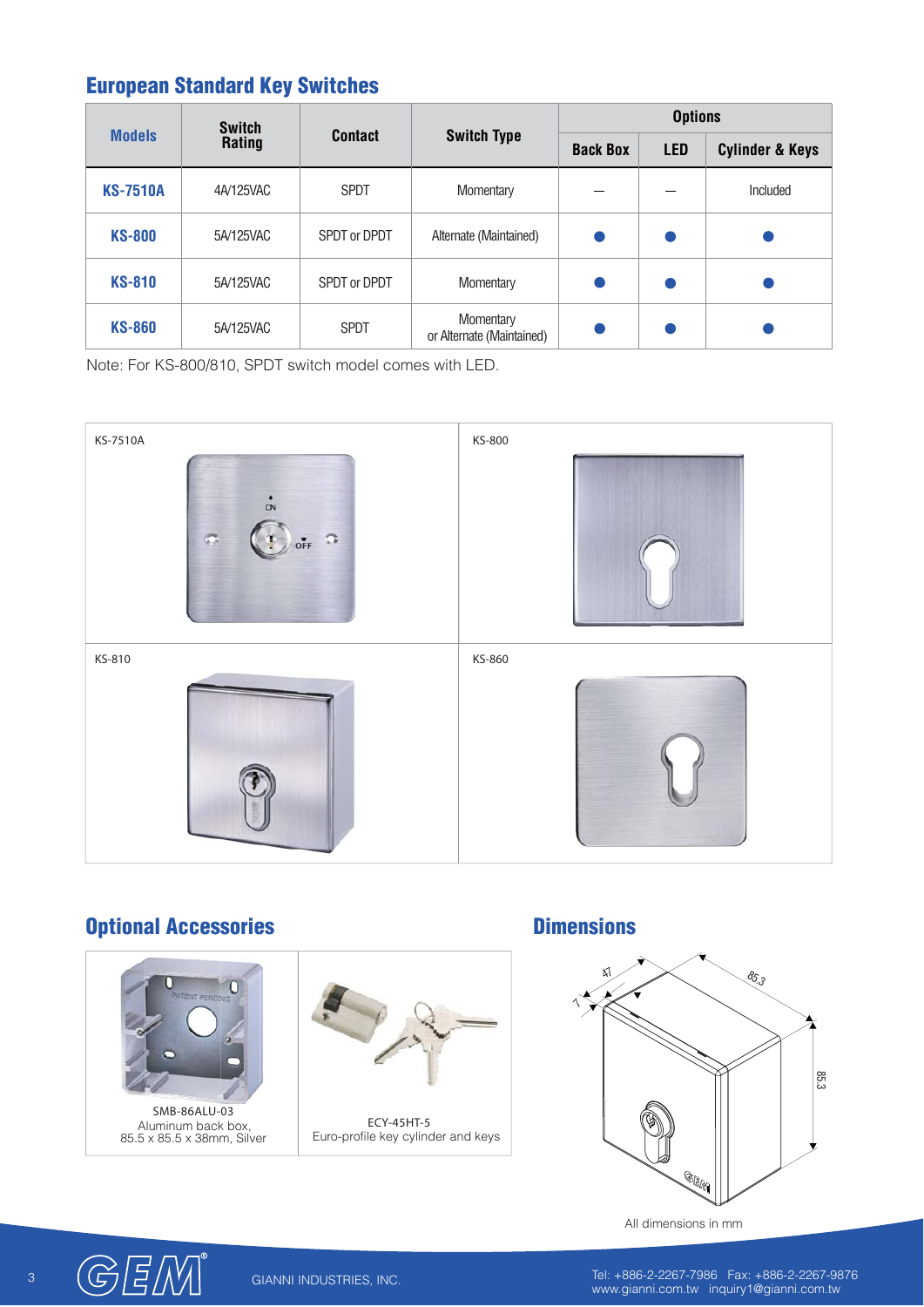# **European Standard Key Switches**

| <b>Models</b>   | <b>Switch</b><br>Rating | <b>Contact</b> | <b>Switch Type</b>                     | <b>Options</b>  |            |                            |
|-----------------|-------------------------|----------------|----------------------------------------|-----------------|------------|----------------------------|
|                 |                         |                |                                        | <b>Back Box</b> | <b>LED</b> | <b>Cylinder &amp; Keys</b> |
| <b>KS-7510A</b> | 4A/125VAC               | <b>SPDT</b>    | Momentary                              |                 |            | Included                   |
| <b>KS-800</b>   | 5A/125VAC               | SPDT or DPDT   | Alternate (Maintained)                 |                 |            |                            |
| <b>KS-810</b>   | 5A/125VAC               | SPDT or DPDT   | Momentary                              |                 |            |                            |
| <b>KS-860</b>   | 5A/125VAC               | <b>SPDT</b>    | Momentary<br>or Alternate (Maintained) |                 |            |                            |

Note: For KS-800/810, SPDT switch model comes with LED.



#### **Optional Accessories**



Aluminum back box, 85.5 x 85.5 x 38mm, Silver



Euro-profile key cylinder and keys

#### **Dimensions**



All dimensions in mm



3 Tel: +886-2-2267-7986 Fax: +886-2-2267-9876<br>www.gianni.com.tw inquiry1@gianni.com.tw